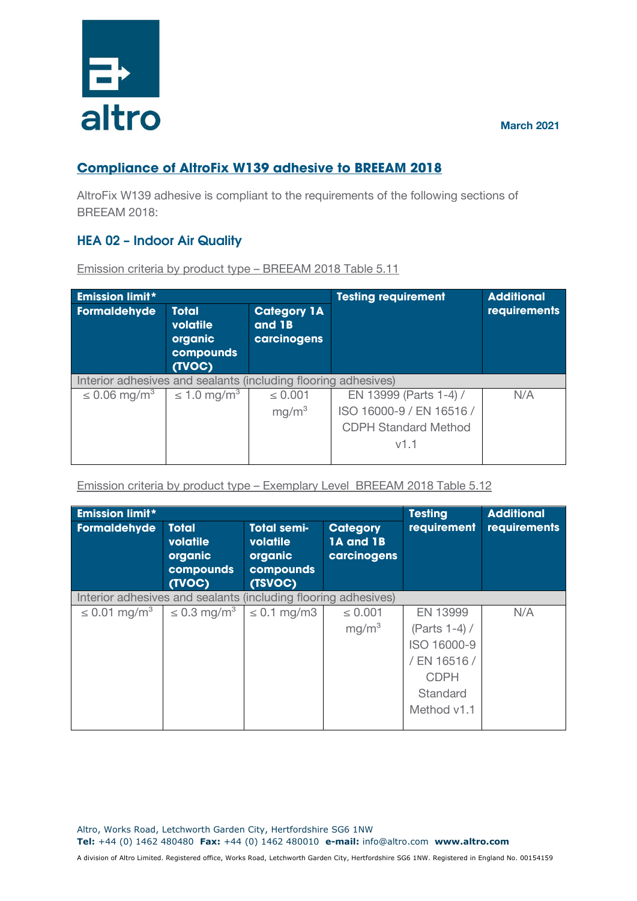

## March 2021

## **Compliance of AltroFix W139 adhesive to BREEAM 2018**

AltroFix W139 adhesive is compliant to the requirements of the following sections of BREEAM 2018:

## HEA 02 – Indoor Air Quality

Emission criteria by product type – BREEAM 2018 Table 5.11

| <b>Emission limit*</b>                                         |                                                            |                                             | <b>Testing requirement</b>  | <b>Additional</b>   |  |  |  |
|----------------------------------------------------------------|------------------------------------------------------------|---------------------------------------------|-----------------------------|---------------------|--|--|--|
| Formaldehyde                                                   | <b>Total</b><br>volatile<br>organic<br>compounds<br>(TVOC) | <b>Category 1A</b><br>and 1B<br>carcinogens |                             | <b>requirements</b> |  |  |  |
| Interior adhesives and sealants (including flooring adhesives) |                                                            |                                             |                             |                     |  |  |  |
| $\leq 0.06$ mg/m <sup>3</sup>                                  | $\leq 1.0$ mg/m <sup>3</sup>                               | $\leq 0.001$                                | EN 13999 (Parts 1-4) /      | N/A                 |  |  |  |
|                                                                |                                                            | mg/m <sup>3</sup>                           | ISO 16000-9 / EN 16516 /    |                     |  |  |  |
|                                                                |                                                            |                                             | <b>CDPH Standard Method</b> |                     |  |  |  |
|                                                                |                                                            |                                             | V1.1                        |                     |  |  |  |

Emission criteria by product type – Exemplary Level BREEAM 2018 Table 5.12

| <b>Emission limit*</b>                                         |                                                            |                                                                   |                                             | <b>Testing</b> | <b>Additional</b> |  |
|----------------------------------------------------------------|------------------------------------------------------------|-------------------------------------------------------------------|---------------------------------------------|----------------|-------------------|--|
| <b>Formaldehyde</b>                                            | <b>Total</b><br>volatile<br>organic<br>compounds<br>(TVOC) | <b>Total semi-</b><br>volatile<br>organic<br>compounds<br>(TSVOC) | <b>Category</b><br>1A and 1B<br>carcinogens | requirement    | requirements      |  |
| Interior adhesives and sealants (including flooring adhesives) |                                                            |                                                                   |                                             |                |                   |  |
| $\leq 0.01$ mg/m <sup>3</sup>                                  | $\leq$ 0.3 mg/m <sup>3</sup>                               | $\leq$ 0.1 mg/m3                                                  | $\leq 0.001$                                | EN 13999       | N/A               |  |
|                                                                |                                                            |                                                                   | mg/m <sup>3</sup>                           | (Parts 1-4) /  |                   |  |
|                                                                |                                                            |                                                                   |                                             | ISO 16000-9    |                   |  |
|                                                                |                                                            |                                                                   |                                             | / EN 16516 /   |                   |  |
|                                                                |                                                            |                                                                   |                                             | <b>CDPH</b>    |                   |  |
|                                                                |                                                            |                                                                   |                                             | Standard       |                   |  |
|                                                                |                                                            |                                                                   |                                             | Method v1.1    |                   |  |